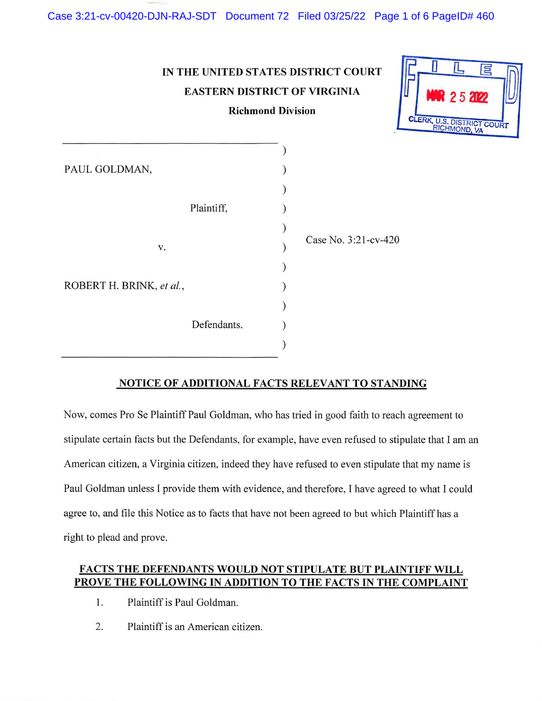# IN THE UNITED STATES DISTRICT COURT EASTERN DISTRICT OF VIRGINIA



| <b>Richmond Division</b> |  |
|--------------------------|--|
|--------------------------|--|

| PAUL GOLDMAN,            |             |                      |
|--------------------------|-------------|----------------------|
|                          |             |                      |
|                          | Plaintiff,  |                      |
|                          |             |                      |
| V.                       |             | Case No. 3:21-cv-420 |
|                          |             |                      |
| ROBERT H. BRINK, et al., |             |                      |
|                          |             |                      |
|                          | Defendants. |                      |
|                          |             |                      |
|                          |             |                      |

### NOTICE OF ADDITIONAL FACTS RELEVANT TO STANDING

Now, comes Pro Se Plaintiff Paul Goldman, who has tried in good faith to reach agreement to stipulate certain facts but the Defendants, for example, have even refused to stipulate that I am an American citizen, a Virginia citizen, indeed they have refused to even stipulate that my name is Paul Goldman unless I provide them with evidence, and therefore, I have agreed to what I could agree to, and file this Notice as to facts that have not been agreed to but which Plaintiff has a right to plead and prove.

## FACTS THE DEFENDANTS WOULD NOT STIPULATE BUT PLAINTIFF WILL PROVE THE FOLLOWING IN ADDITION TO THE FACTS IN THE COMPLAINT

- 1. Plaintiff is Paul Goldman.
- 2. Plaintiff is an American citizen.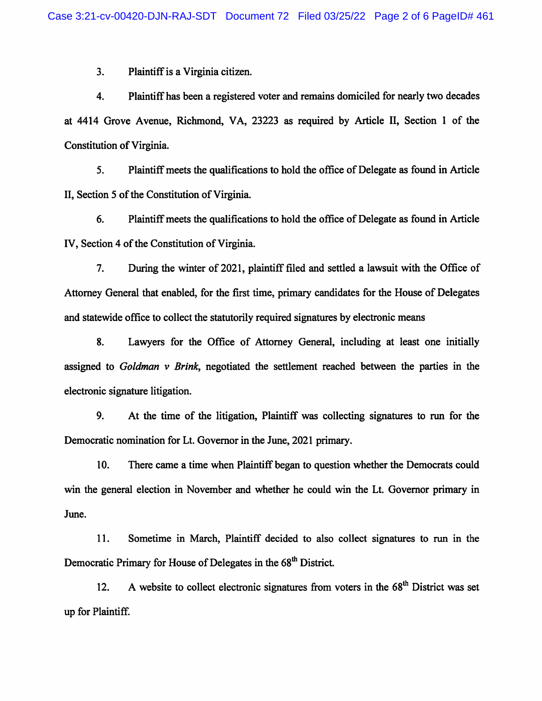3. Plaintiff is a Virginia citizen.

4. Plaintiff has been a registered voter and remains domiciled for nearly two decades at 4414 Grove Avenue, Richmond, VA, 23223 as required by Article II, Section 1 of the Constitution of Virginia.

5. Plaintiff meets the qualifications to hold the office of Delegate as found in Article II, Section 5 of the Constitution of Virginia.

6. Plaintiff meets the qualifications to hold the office of Delegate as found in Article IV, Section 4 of the Constitution of Virginia.

7. During the winter of 2021, plaintiff filed and settled a lawsuit with the Office of Attorney General that enabled, for the first time, primary candidates for the House of Delegates and statewide office to collect the statutorily required signatures by electronic means

8. Lawyers for the Office of Attorney General, including at least one initially assigned to Goldman v Brink, negotiated the settlement reached between the parties in the electronic signature litigation.

9. At the time of the litigation. Plaintiff was collecting signatures to run for the Democratic nomination for Lt. Governor in the June, 2021 primary.

10. There came a time when Plaintiff began to question whether the Democrats could win the general election in November and whether he could win the Lt. Governor primary in June.

11. Sometime in March, Plaintiff decided to also collect signatures to run in the Democratic Primary for House of Delegates in the 68<sup>th</sup> District.

12. A website to collect electronic signatures from voters in the  $68<sup>th</sup>$  District was set up for Plaintiff.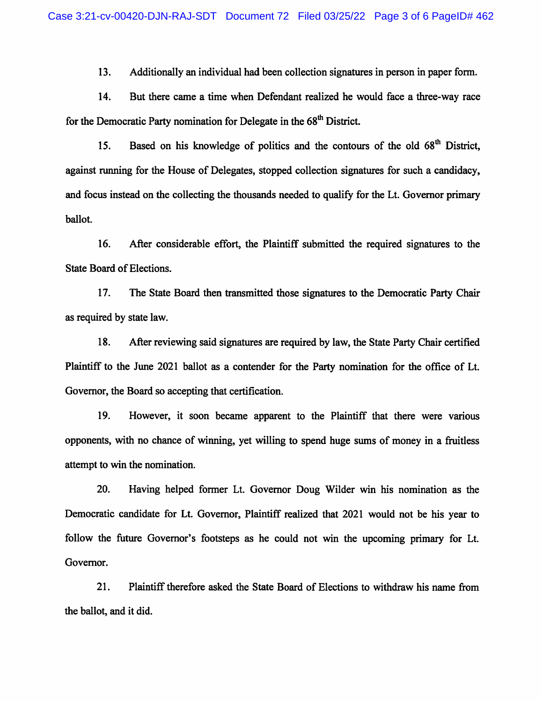13. Additionally an individual had been collection signatures in person in paper form.

14. But there came a time when Defendant realized he would face a three-way race for the Democratic Party nomination for Delegate in the 68<sup>th</sup> District.

15. Based on his knowledge of politics and the contours of the old 68<sup>th</sup> District, against running for the House of Delegates, stopped collection signatures for such a candidacy, and focus instead on the collecting the thousands needed to qualify for the Lt. Governor primary ballot.

16. After considerable effort, the Plaintiff submitted the required signatures to the State Board of Elections.

17. The State Board then transmitted those signatures to the Democratic Party Chair as required by state law.

18. After reviewing said signatures are required by law, the State Party Chair certified Plaintiff to the June 2021 ballot as a contender for the Party nomination for the office of Lt. Governor, the Board so accepting that certification.

19. However, it soon became apparent to the Plaintiff that there were various opponents, with no chance of winning, yet willing to spend huge sums of money in a fhiitless attempt to win the nomination.

20. Having helped former Lt. Governor Doug Wilder win his nomination as the Democratic candidate for Lt. Governor, Plaintiff realized that 2021 would not be his year to follow the future Governor's footsteps as he could not win the upcoming primary for Lt. Governor.

21. Plaintiff therefore asked the State Board of Elections to withdraw his name from the ballot, and it did.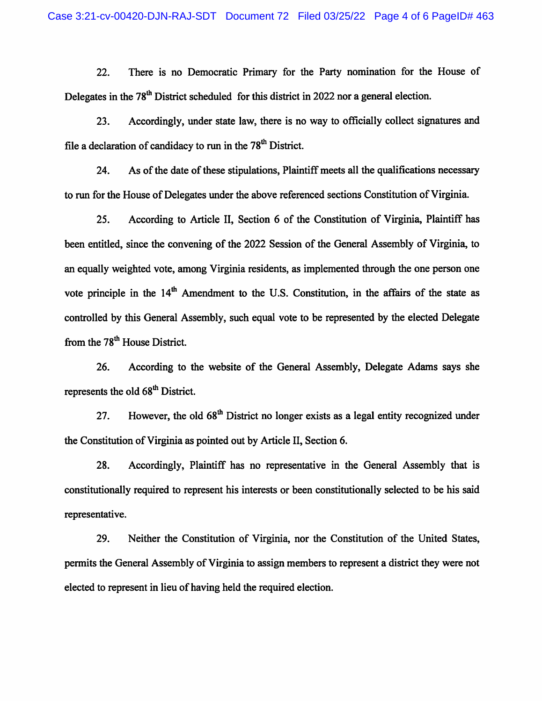22. There is no Democratic Primary for the Party nomination for the House of Delegates in the  $78<sup>th</sup>$  District scheduled for this district in 2022 nor a general election.

23. Accordingly, under state law, there is no way to officially collect signatures and file a declaration of candidacy to run in the  $78<sup>th</sup>$  District.

24. As of the date of these stipulations. Plaintiff meets all the qualifications necessary to run for the House of Delegates under the above referenced sections Constitution of Virginia.

25. According to Article II, Section 6 of the Constitution of Virginia, Plaintiff has been entitled, since the convening of the 2022 Session of the General Assembly of Virginia, to an equally weighted vote, among Virginia residents, as implemented through the one person one vote principle in the  $14<sup>th</sup>$  Amendment to the U.S. Constitution, in the affairs of the state as controlled by this General Assembly, such equal vote to be represented by the elected Delegate from the  $78<sup>th</sup>$  House District.

26. According to the website of the General Assembly, Delegate Adams says she represents the old 68<sup>th</sup> District.

27. However, the old  $68<sup>th</sup>$  District no longer exists as a legal entity recognized under the Constitution of Virginia as pointed out by Article II, Section 6.

28. Accordingly, Plaintiff has no representative in the General Assembly that is constitutionally required to represent his interests or been constitutionally selected to be his said representative.

29. Neither the Constitution of Virginia, nor the Constitution of the United States, permits the General Assembly of Virginia to assign members to represent a district they were not elected to represent in lieu of having held the required election.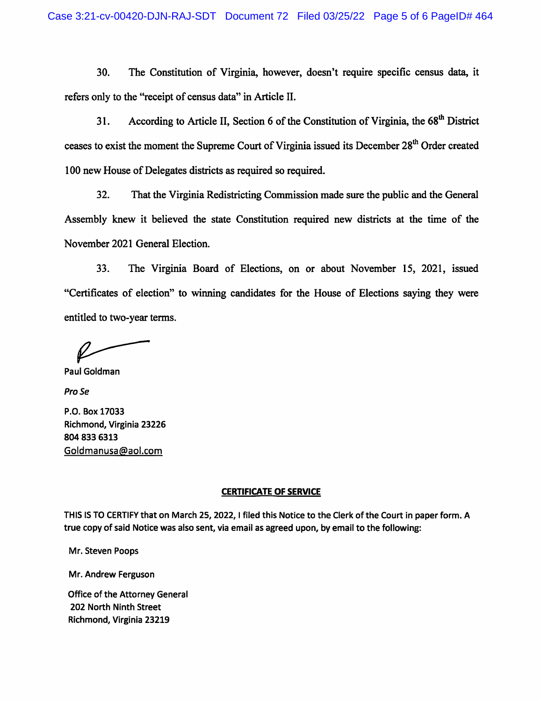30. The Constitution of Virginia, however, doesn't require specific census data, it refers only to the "receipt of census data" in Article II.

31. According to Article II, Section 6 of the Constitution of Virginia, the 68<sup>th</sup> District ceases to exist the moment the Supreme Court of Virginia issued its December 28<sup>th</sup> Order created 100 new House of Delegates districts as required so required.

32. That the Virginia Redistricting Commission made sure the public and the General Assembly knew it believed the state Constitution required new districts at the time of the November 2021 General Election.

33. The Virginia Board of Elections, on or about November 15, 2021, issued "Certificates of election" to winning candidates for the House of Elections saying they were entitled to two-year terms.

Paul Goldman

Pro Se

P.O. Box 17033 Richmond, Virginia 23226 804 833 6313 Goldmanusa@aoi.com

#### CERTIFICATE OF SERVICE

THIS IS TO CERTIFY that on March 25, 2022, I filed this Notice to the Clerk of the Court in paper form. A true copy of said Notice was also sent, via email as agreed upon, by email to the following:

Mr. Steven Poops

Mr. Andrew Ferguson

Office of the Attorney General 202 North Ninth Street Richmond, Virginia 23219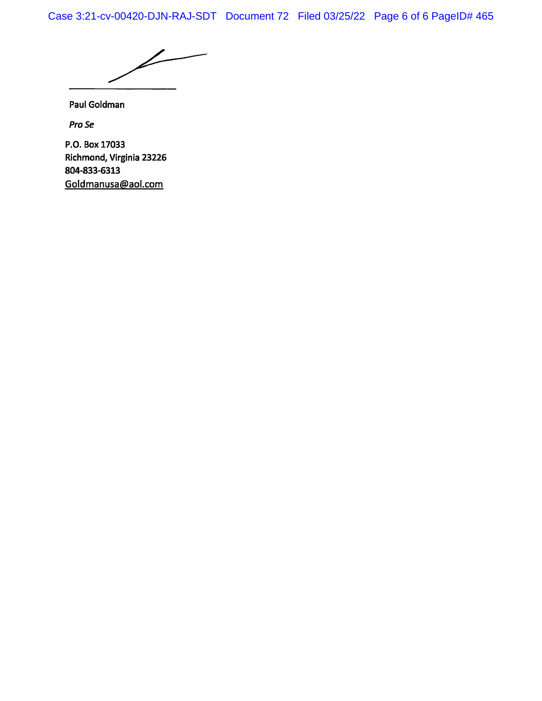Case 3:21-cv-00420-DJN-RAJ-SDT Document 72 Filed 03/25/22 Page 6 of 6 PageID# 465

L

Paul Goldman

Pro Se

P.O. Box 17033 Richmond, Virginia 23226 804-833-6313 Goldmanusa@aol.com